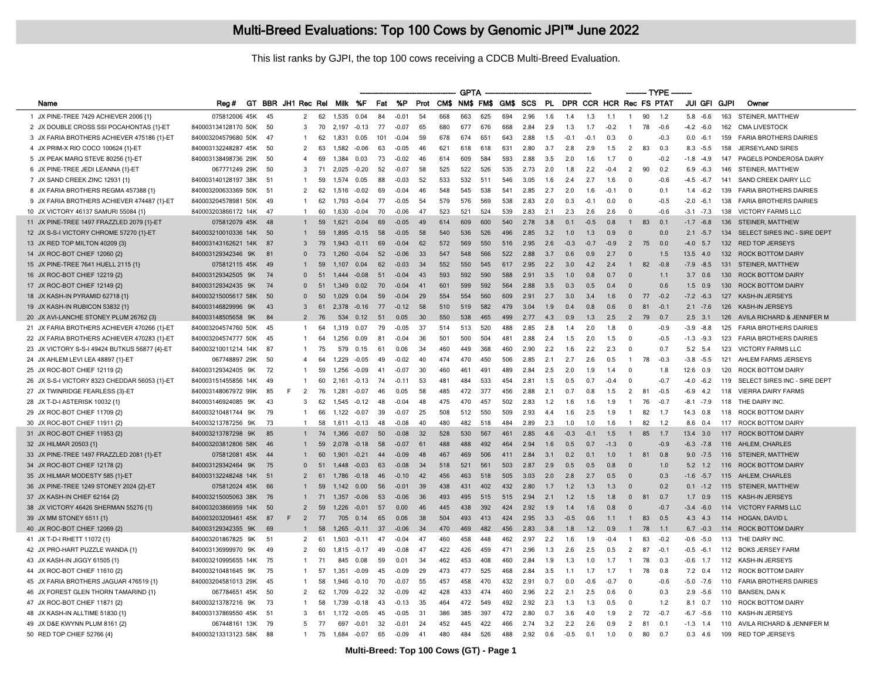## Multi-Breed Evaluations: Top 100 Cows by Genomic JPI<sup>™</sup> June 2022

This list ranks by GJPI, the top 100 cows receiving a CDCB Multi-Breed Evaluation.

|                                               |                     |     |      |                     |                      |       |         |          |                | <b>GPTA</b> |      |     |     |                    |         |                 |        |                | — TYPE                  |                |    |        |              |              |      |                               |
|-----------------------------------------------|---------------------|-----|------|---------------------|----------------------|-------|---------|----------|----------------|-------------|------|-----|-----|--------------------|---------|-----------------|--------|----------------|-------------------------|----------------|----|--------|--------------|--------------|------|-------------------------------|
| Name                                          | Reg #               |     |      | GT BBR JH1 Rec Rel  |                      |       | Milk %F | Fat      | %P             | Prot        | CM\$ |     |     | NM\$ FM\$ GM\$ SCS |         | <b>PL</b>       |        |                | DPR CCR HCR Rec FS PTAT |                |    |        |              | JUI GFI GJPI |      | Owner                         |
| 1 JX PINE-TREE 7429 ACHIEVER 2006 {1}         | 075812006 45K       |     | 45   |                     | 62<br>$\overline{2}$ | 1,535 | 0.04    | 84       | $-0.01$        | 54          | 668  | 663 | 625 | 694                | 2.96    | 1.6             | 1.4    | 1.3            | 1.1                     | $\mathbf{1}$   | 90 | 1.2    | 5.8          | $-6.6$       | 163  | STEINER, MATTHEW              |
| 2 JX DOUBLE CROSS SSI POCAHONTAS {1}-ET       | 840003134128170 50K |     | 50   | 3                   | 70                   | 2,197 | $-0.13$ | 77       | $-0.07$        | 65          | 680  | 677 | 676 | 668                | 2.84    | 2.9             | 1.3    | 1.7            | $-0.2$                  | $\mathbf{1}$   | 78 | $-0.6$ |              | $-4.2 -6.0$  | 162  | <b>CMA LIVESTOCK</b>          |
| 3 JX FARIA BROTHERS ACHIEVER 475186 {1}-ET    | 840003204579680 50K |     | 47   |                     | 62                   | 1.831 | 0.05    | $10^{-}$ | $-0.04$        | 59          | 678  | 674 | 651 | 643                | 2.88    | 1.5             | $-0.1$ | $-0.1$         | 0.3                     | 0              |    | $-0.3$ | 0.0          | $-6.1$       | 159  | <b>FARIA BROTHERS DAIRIES</b> |
| 4 JX PRIM-X RIO COCO 100624 {1}-ET            | 840003132248287 45K |     | 50   |                     | 63<br>$\overline{2}$ | 1.582 | $-0.06$ | 63       | $-0.05$        | 46          | 621  | 618 | 618 | 631                | 2.80    | 3.7             | 2.8    | 2.9            | 1.5                     | 2              | 83 | 0.3    |              | $8.3 - 5.5$  | 158  | <b>JERSEYLAND SIRES</b>       |
| 5 JX PEAK MARQ STEVE 80256 {1}-ET             | 840003138498736 29K |     | 50   |                     | 69                   | 1.384 | 0.03    | 73       | $-0.02$        | 46          | 614  | 609 | 584 | 593                | 2.88    | 3.5             | 2.0    | 1.6            | 1.7                     | $\Omega$       |    | $-0.2$ | $-1.8$       | $-4.9$       | 147  | PAGELS PONDEROSA DAIRY        |
| 6 JX PINE-TREE JEDI LEANNA {1}-ET             | 067771249 29K       |     | -50  | 3                   | 71                   | 2.025 | $-0.20$ | -52      | $-0.07$        | 58          | 525  | 522 | 526 | 535                | 2.73    | 2.0             | 1.8    | 2.2            | $-0.4$                  | $\overline{2}$ | 90 | 0.2    |              | $6.9 - 6.3$  | 146  | STEINER, MATTHEW              |
| 7 JX SAND CREEK ZINC 12931 {1}                | 840003140128197 38K |     | - 51 |                     | 59                   | 1.574 | 0.05    | 88       | $-0.03$        | 52          | 533  | 532 | 511 | 546                | 3.05    | 16              | 2.4    | 2.7            | 1.6                     | $^{\circ}$     |    | $-0.6$ |              | $-4.5 -6.7$  | 141  | SAND CREEK DAIRY LLC          |
| 8 JX FARIA BROTHERS REGMA 457388 {1}          | 840003200633369 50K |     | 51   | $\overline{2}$      | 62                   | 1.516 | $-0.02$ | 69       | -0.04          | 46          | 548  | 545 | 538 | 541                | 2.85    | 2.7             | 2.0    | 1.6            | $-0.1$                  | $^{\circ}$     |    | 0.1    | 1.4          | $-6.2$       | 139  | <b>FARIA BROTHERS DAIRIES</b> |
| 9 JX FARIA BROTHERS ACHIEVER 474487 {1}-ET    | 840003204578981 50K |     | 49   |                     | 62                   | 1.793 | $-0.04$ | 77       | $-0.05$        | 54          | 579  | 576 | 569 | 538                | 2.83    | 2.0             | 0.3    | $-0.1$         | 0.0                     | $^{\circ}$     |    | $-0.5$ | $-2.0$       | $-6.1$       | 138  | <b>FARIA BROTHERS DAIRIES</b> |
| 10 JX VICTORY 46137 SAMURI 55084 {1}          | 840003203866172 14K |     | 47   |                     | 60                   | 1.630 | $-0.04$ | 70       | -0.06          | 47          | 523  | 521 | 524 | 539                | 2.83    | 2.1             | 2.3    | 2.6            | 2.6                     | $\Omega$       |    | $-0.6$ |              | $-3.1 - 7.3$ | 138  | <b>VICTORY FARMS LLC</b>      |
| 11 JX PINE-TREE 1497 FRAZZLED 2079 {1}-ET     | 075812079 45K       |     | 48   |                     | 59                   | 1.621 | $-0.04$ | 69       | $-0.05$        | 49          | 614  | 609 | 600 | 540                | 2.78    | 38              | 0.1    | $-0.5$         | 0.8                     | $\mathbf{1}$   | 83 | 0.1    | $-1.7 -6.8$  |              | 136  | <b>STEINER, MATTHEW</b>       |
| 12 JX S-S-I VICTORY CHROME 57270 {1}-ET       | 840003210010336 14K |     | 50   |                     | 59                   | 1895  | $-0.15$ | 58       | $-0.05$        | 58          | 540  | 536 | 526 | 496                | 285     | 32              | 1.0    | 1.3            | 0.9                     | $\Omega$       |    | 0.0    | 2.1          | $-5.7$       | 134  | SELECT SIRES INC - SIRE DEPT  |
| 13 JX RED TOP MILTON 40209 {3}                | 840003143162621     | 14K | 87   | -3                  | 79                   | 1.943 | $-0.11$ | 69       | $-0.04$        | 62          | 572  | 569 | 550 | 516                | 2.95    | 2.6             | $-0.3$ | $-0.7$         | $-0.9$                  | $\overline{2}$ | 75 | 0.0    | $-4.0$       | 5.7          | 132  | <b>RED TOP JERSEYS</b>        |
| 14 JX ROC-BOT CHIEF 12060 {2}                 | 840003129342346     | 9K  | 81   |                     | 73<br>$\Omega$       | 1.260 | $-0.04$ | 52       | $-0.06$        | 33          | 547  | 548 | 566 | 522                | 2.88    | 37              | 0.6    | 0.9            | 2.7                     | $\Omega$       |    | 1.5    | 13.5         | 4.0          | 132  | ROCK BOTTOM DAIRY             |
| 15 JX PINE-TREE 7641 HUELL 2115 {1}           | 075812115 45K       |     | 49   |                     | 59                   | 1.107 | 0.04    | 62       | $-0.03$        | 34          | 552  | 550 | 545 | 617                | 2.95    | 22              | 3.0    | 4.2            | 2.4                     | -1             | 82 | $-0.8$ | $-7.9$       | $-8.5$       | 131  | <b>STEINER, MATTHEW</b>       |
| 16 JX ROC-BOT CHIEF 12219 {2}                 | 840003129342505     | 9K  | 74   |                     | 51                   | 1.444 | $-0.08$ | 51       | $-0.04$        | 43          | 593  | 592 | 590 | 588                | $2.9 -$ | 3.5             | 1.0    | 0.8            | 0.7                     | $\Omega$       |    | 1.1    | 3.7          | 0.6          | 130  | <b>ROCK BOTTOM DAIRY</b>      |
| 17 JX ROC-BOT CHIEF 12149 {2}                 | 840003129342435     | 9K  | 74   |                     | 51                   | 1.349 | 0.02    | 70       | -0.04          | 41          | 601  | 599 | 592 | 564                | 2.88    | 3.5             | 0.3    | 0.5            | 0.4                     | $\mathbf{0}$   |    | 0.6    | 1.5          | 0.9          | 130  | <b>ROCK BOTTOM DAIRY</b>      |
| 18 JX KASH-IN PYRAMID 62718 {1}               | 840003215005617 58K |     | 50   |                     | $\Omega$<br>50       | 1.029 | 0.04    | 59       | $-0.04$        | 29          | 554  | 554 | 560 | 609                | 29      | 2.7             | 3.0    | 3.4            | 1.6                     | $\Omega$       | 77 | $-0.2$ | $-7.2 -6.3$  |              | 127  | <b>KASH-IN JERSEYS</b>        |
| 19 JX KASH-IN RUBICON 53832 {1}               | 840003146829996     | 9K  | 43   | $\mathbf{B}$        | 61                   | 2.378 | $-0.16$ | 77       | $-0.12$        | 58          | 510  | 519 | 582 | 479                | 3.04    | 19              | 0.4    | 0.8            | 0.6                     | $\Omega$       | 81 | $-0.1$ |              | $2.1 - 7.6$  | 126  | <b>KASH-IN JERSEYS</b>        |
| 20 JX AVI-LANCHE STONEY PLUM 26762 {3}        | 840003148505658     | 9K  | 84   |                     | $\overline{2}$<br>76 | 534   | 0.12    | 51       | 0.05           | 30          | 550  | 538 | 465 | 499                | 2.77    |                 | 0.9    | 1.3            | 2.5                     | 2              | 79 | 0.7    |              | $2.5$ 3.1    | 126  | AVILA RICHARD & JENNIFER M    |
| 21 JX FARIA BROTHERS ACHIEVER 470266 {1}-ET   | 840003204574760 50K |     | 45   |                     | 64<br>$\mathbf{1}$   | 1.319 | 0.07    | 79       | $-0.05$        | 37          | 514  | 513 | 520 | 488                | 2.85    | 28              | 1.4    | 2.0            | 1.8                     | $^{\circ}$     |    | $-0.9$ |              | $-3.9 - 8.8$ | 125  | <b>FARIA BROTHERS DAIRIES</b> |
| 22 JX FARIA BROTHERS ACHIEVER 470283 {1}-ET   | 840003204574777 50K |     | 45   |                     | 64                   | 1.256 | 0.09    | -81      | $-0.04$        | 36          | 501  | 500 | 504 | 481                | 2.88    | 2.4             | 1.5    | 2.0            | 1.5                     | $\Omega$       |    | $-0.5$ | $-1.3$       | $-9.3$       | 123  | <b>FARIA BROTHERS DAIRIES</b> |
| 23 JX VICTORY S-S-I 49424 BUTKUS 56877 {4}-ET | 840003210011214 14K |     | 87   |                     | 75                   | 579   | 0.15    | 61       | 0.06           | 34          | 460  | 449 | 368 | 460                | 2.90    | 2.2             | 1.6    | 2.2            | 2.3                     | $\Omega$       |    | 0.7    | 5.2          | 5.4          | 123  | <b>VICTORY FARMS LLC</b>      |
| 24 JX AHLEM LEVI LEA 48897 {1}-ET             | 067748897 29K       |     | 50   |                     | 64                   | .229  | $-0.05$ | 49       | -0.02          | 40          | 474  | 470 | 450 | 506                | 285     | 2.1             | 2.7    | 2.6            | 0.5                     | -1             | 78 | $-0.3$ | $-3.8$       | $-5.5$       | 121  | AHLEM FARMS JERSEYS           |
| 25 JX ROC-BOT CHIEF 12119 {2}                 | 840003129342405     | 9K  | 72   | -1                  | 59                   | 1.256 | $-0.09$ | 41       | $-0.07$        | 30          | 460  | 461 | 491 | 489                | 2.84    | 2.5             | 2.0    | 1.9            | 1.4                     | 0              |    | 1.8    | 12.6         | 0.9          | 120  | ROCK BOTTOM DAIRY             |
| 26 JX S-S-I VICTORY 8323 CHEDDAR 56053 {1}-ET | 840003151455856 14K |     | 49   |                     | 60                   | 2 161 | $-0.13$ | 74       | $-0.11$        | 53          | 481  | 484 | 533 | 454                | 28      | 1.5             | 0.5    | 0 <sub>7</sub> | $-0.4$                  | $\Omega$       |    | $-0.7$ | $-4.0$       | $-6.2$       | 119  | SELECT SIRES INC - SIRE DEPT  |
| 27 JX TWINRIDGE FEARLESS {3}-ET               | 840003148067972 99K |     | 85   | F<br>$\overline{2}$ | 76                   | 1.281 | $-0.07$ | 46       | 0.05           | 58          | 485  | 472 | 377 | 456                | 2.88    | 2.1             | 0.7    | 0.8            | 1.5                     | $\overline{2}$ | 81 | $-0.5$ | -6.9         | 4.2          | 118  | <b>VIERRA DAIRY FARMS</b>     |
| 28 JX T-D-I ASTERISK 10032 {1}                | 840003146924085     | .9K | 43   | 3                   | 62                   | 1.545 | $-0.12$ |          | $-0.04$        | 48          | 475  | 470 | 457 | 502                | 2.83    | 1.2             | 1.6    | 1.6            | 1.9                     | $\mathbf{1}$   | 76 | $-0.7$ | $-8.1 - 7.9$ |              | 118  | THE DAIRY INC.                |
| 29 JX ROC-BOT CHIEF 11709 {2}                 | 840003210481744     | .9K | 79   |                     | 66                   | 1.122 | $-0.07$ | 39       | -0.07          | 25          | 508  | 512 | 550 | 509                | 2.93    | 44              | 1.6    | 2.5            | 1.9                     | -1             | 82 | 1.7    | 14.3         | 0. R         | 118  | ROCK BOTTOM DAIRY             |
| 30 JX ROC-BOT CHIEF 11911 {2}                 | 840003213787256     | 9K  | 73   |                     | 58                   | 1.611 | $-0.13$ | 48       | $-0.08$        | 40          | 480  | 482 | 518 | 484                | 2.89    | 2.3             | 1.0    | 1.0            | 1.6                     | $\mathbf{1}$   | 82 | 1.2    | 8.6          | 0.4          | 117  | <b>ROCK BOTTOM DAIRY</b>      |
| 31 JX ROC-BOT CHIEF 11953 {2}                 | 840003213787298     | 9K  | 85   |                     | 74                   | 1,366 | $-0.07$ | 50       | $-0.08$        | 32          | 528  | 530 | 567 | 461                | 2.85    | 46              | $-0.3$ | $-0.1$         | 1.5                     |                | 85 | 1.7    | 13.4         | 3.0          | 117  | <b>ROCK BOTTOM DAIRY</b>      |
| 32 JX HILMAR 20503 {1}                        | 840003203812806 58K |     | 46   |                     | $\mathbf{1}$<br>59   | 2,078 | $-0.18$ | 58       | $-0.07$        | 61          | 488  | 488 | 492 | 464                | 2.94    | 1.6             | 0.5    | 0.7            | $-1.3$                  | $\mathbf{0}$   |    | $-0.9$ |              | $-6.3 -7.8$  | 116  | AHLEM, CHARLES                |
| 33 JX PINE-TREE 1497 FRAZZLED 2081 {1}-ET     | 075812081 45K       |     | 44   |                     | 60                   | 1 901 | $-0.21$ | 44       | -0.09          | 48          | 467  | 469 | 506 | 411                | 284     | $\overline{3}1$ | 0.2    | 0.1            | 1.0                     | $\mathbf{1}$   | 81 | 0.8    | 9.0          | $-7.5$       | 116  | <b>STEINER, MATTHEW</b>       |
| 34 JX ROC-BOT CHIEF 12178 {2}                 | 840003129342464     | 9K  | 75   |                     | $\Omega$<br>51       | 1.448 | $-0.03$ | 63       | $-0.08$        | 34          | 518  | 521 | 561 | 503                | 2.87    | 2.9             | 0.5    | 0.5            | 0.8                     | $\Omega$       |    | 1.0    |              | $5.2$ 1.2    | 116  | ROCK BOTTOM DAIRY             |
| 35 JX HILMAR MODESTY 585 {1}-ET               | 840003132248248 14K |     | 51   |                     | $\overline{2}$<br>61 | 1.786 | $-0.18$ | 46       | $-0.10$        | 42          | 456  | 463 | 518 | 505                | 3.03    | 2.0             | 2.8    | 2.7            | 0.5                     | $\mathbf{0}$   |    | 0.3    | $-1.6$       | $-5.7$       | 115  | AHLEM, CHARLES                |
| 36 JX PINE-TREE 1249 STONEY 2024 {2}-ET       | 075812024 45K       |     | 66   |                     | 59                   | 1.142 | 0.00    | 56       | $-0.0^{\circ}$ | 39          | 438  | 431 | 402 | 432                | 2.80    | 17              | 1.2    | 1.3            | 1.3                     | $\Omega$       |    | 0.2    |              | $0.1 - 1.2$  | -115 | <b>STEINER, MATTHEW</b>       |
| 37 JX KASH-IN CHIEF 62164 {2}                 | 840003215005063 38K |     | 76   |                     | 71                   | 1.357 | $-0.06$ | 53       | -0.06          | 36          | 493  | 495 | 515 | 515                | 2.94    | 21              | 1.2    | 1.5            | 1.8                     | $\mathbf{0}$   | 81 | 0.7    | 1.7          | 09           | 115  | <b>KASH-IN JERSEYS</b>        |
| 38 JX VICTORY 46426 SHERMAN 55276 {1}         | 840003203866959     | 14K | 50   |                     | $\mathcal{P}$<br>59  | 1 226 | $-0.01$ | 57       | 0.00           | 46          | 445  | 438 | 392 | 424                | 292     | 19              | 1.4    | 1.6            | 0.8                     | $\Omega$       |    | $-0.7$ | $-34$        | $-60$        | 114  | <b>VICTORY FARMS LLC</b>      |
| 39 JX MM STONEY 6511 {1}                      | 840003203209461 45K |     | 87   | F                   | $\overline{2}$<br>77 | 705   | 0.14    | 65       | 0.06           | 38          | 504  | 493 | 413 | 424                | 2.95    | 3.3             | $-0.5$ | 0.6            | 1.1                     | $\mathbf{1}$   | 83 | 0.5    | 4.3          | 4.3          | 114  | <b>HOGAN, DAVID L</b>         |
| 40 JX ROC-BOT CHIEF 12069 {2                  | 840003129342355     | 9K  | -69  |                     | 58                   | 265   | $-0.11$ | 37       | -0.06          | 34          | 470  | 469 | 482 | 456                | 283     | 3 <sup>8</sup>  | 18     | 12             | 0.9                     |                | 78 | 11     | 6.7          | $-0.3$       | 114  | ROCK BOTTOM DAIRY             |
| 41 JX T-D-I RHETT 11072 {1}                   | 840003201867825     | 9K  | 51   |                     | $\overline{2}$<br>61 | 1.503 | $-0.11$ | 47       | $-0.04$        | 47          | 460  | 458 | 448 | 462                | 2.97    | 2.2             | 1.6    | 1.9            | $-0.4$                  | -1             | 83 | $-0.2$ |              | $-0.6 - 5.0$ | 113  | THE DAIRY INC.                |
| 42 JX PRO-HART PUZZLE WANDA {1}               | 840003136999970     | 9K  | 49   |                     | 60<br>$\overline{2}$ | 1.815 | $-0.17$ | 49       | $-0.08$        | 47          | 422  | 426 | 459 | 471                | 2.96    | 1.3             | 2.6    | 2.5            | 0.5                     | 2              | 87 | $-0.1$ | $-0.5$       | $-6.1$       | 112  | <b>BOKS JERSEY FARM</b>       |
| 43 JX KASH-IN JIGGY 61505 {1]                 | 840003210995655 14K |     | 75   |                     | 71                   | 845   | 0.08    | 59       | 0.01           | 34          | 462  | 453 | 408 | 460                | 2.84    | 1.9             | 1.3    | 1.0            | 1.7                     | $\mathbf{1}$   | 78 | 0.3    | -0.6         | 1.7          | 112  | KASH-IN JERSEYS               |
| 44 JX ROC-BOT CHIEF 11610 {2}                 | 840003210481645 9K  |     | 75   |                     | 57<br>-1             | 1.351 | $-0.09$ | 45       | $-0.09$        | 29          | 473  | 477 | 525 | 468                | 284     | 35              | 1.1    | 1.7            | 1.7                     | $\mathbf{1}$   | 78 | 0.8    | 7.2          | 0.4          | 112  | ROCK BOTTOM DAIRY             |
| 45 JX FARIA BROTHERS JAGUAR 476519 {1}        | 840003204581013 29K |     | 45   |                     | 58                   |       | $-0.10$ | 70       | $-0.07$        | 55          | 457  | 458 | 470 | 432                | 29      | $^{\circ}$      | 0.0    | -በ 6           | $-07$                   | $\Omega$       |    | $-0.6$ | $-5.0$       | $-7.6$       | 110  | <b>FARIA BROTHERS DAIRIES</b> |
| 46 JX FOREST GLEN THORN TAMARIND {1}          | 067784651 45K       |     | 50   |                     | $\overline{2}$<br>62 | 1.709 | $-0.22$ | 32       | $-0.09$        | 42          | 428  | 433 | 474 | 460                | 2.96    | 2.2             | 2.1    | 2.5            | 0.6                     | $\Omega$       |    | 0.3    | 2.9          | $-5.6$       | 110  | <b>BANSEN, DAN K</b>          |
| 47 JX ROC-BOT CHIEF 11871 {2}                 | 840003213787216     | .9K | 73   |                     | 58                   | 1.739 | $-0.18$ | 43       | $-0.13$        | 35          | 464  | 472 | 549 | 492                | 2.92    | 2.3             | 1.3    | 1.3            | 0.5                     | $\Omega$       |    | 1.2    | 8.1          | 0.7          | 110  | ROCK BOTTOM DAIRY             |
| 48 JX KASH-IN ALLTIME 51830 {1}               | 840003137869550 45K |     | 51   | 3                   | 61                   | 1.172 | $-0.05$ | 45       | $-0.05$        | 31          | 386  | 385 | 397 | 472                | 2.80    | 0.7             | 3.6    | 4.0            | 1.9                     | 2              | 72 | $-0.7$ |              | $-6.7 -5.6$  | 110  | KASH-IN JERSEYS               |
| 49 JX D&E KWYNN PLUM 8161 {2}                 | 067448161 13K       |     | 79   | 5                   | 77                   | 697   | $-0.01$ | 32       | $-0.01$        | 24          | 452  | 445 | 422 | 466                | 274     | 3.2             | 2.2    | 2.6            | 0.9                     | 2              | 81 | 0.1    | $-1.3$       | 1.4          | 110  | AVILA RICHARD & JENNIFER M    |
| 50 RED TOP CHIEF 52766 {4}                    | 840003213313123 58K |     | 88   |                     | 75<br>$\mathbf{1}$   | 1,684 | $-0.07$ | 65       | $-0.09$        | 41          | 480  | 484 | 526 | 488                | 2.92    | 0.6             | $-0.5$ | 0.1            | 1.0                     | $\mathbf 0$    | 80 | 0.7    |              | $0.3$ 4.6    | 109  | <b>RED TOP JERSEYS</b>        |